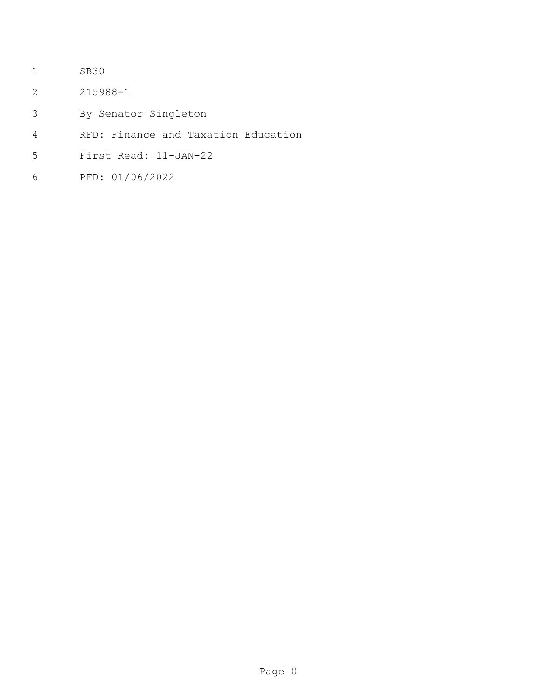- SB30
- 215988-1
- By Senator Singleton
- RFD: Finance and Taxation Education
- First Read: 11-JAN-22
- PFD: 01/06/2022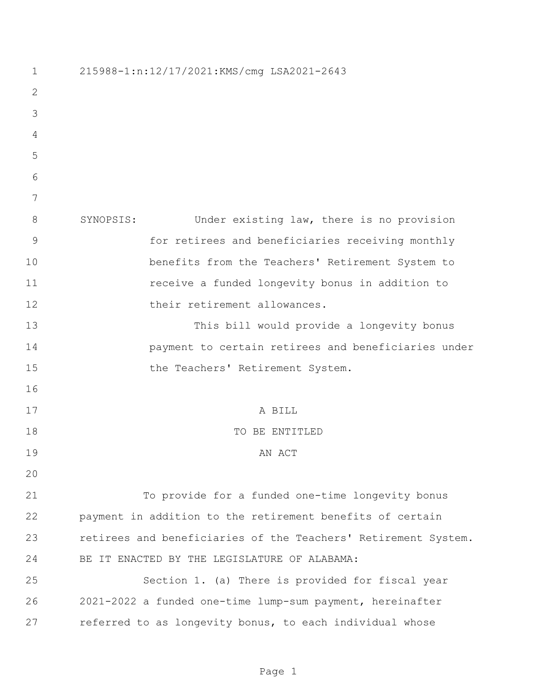| $\mathbf 1$    | 215988-1:n:12/17/2021:KMS/cmg LSA2021-2643                     |
|----------------|----------------------------------------------------------------|
| $\mathbf{2}$   |                                                                |
| 3              |                                                                |
| 4              |                                                                |
| 5              |                                                                |
| 6              |                                                                |
| 7              |                                                                |
| $8\,$          | Under existing law, there is no provision<br>SYNOPSIS:         |
| $\overline{9}$ | for retirees and beneficiaries receiving monthly               |
| 10             | benefits from the Teachers' Retirement System to               |
| 11             | receive a funded longevity bonus in addition to                |
| 12             | their retirement allowances.                                   |
| 13             | This bill would provide a longevity bonus                      |
| 14             | payment to certain retirees and beneficiaries under            |
| 15             | the Teachers' Retirement System.                               |
| 16             |                                                                |
| 17             | A BILL                                                         |
| 18             | TO BE ENTITLED                                                 |
| 19             | AN ACT                                                         |
| 20             |                                                                |
| 21             | To provide for a funded one-time longevity bonus               |
| 22             | payment in addition to the retirement benefits of certain      |
| 23             | retirees and beneficiaries of the Teachers' Retirement System. |
| 24             | BE IT ENACTED BY THE LEGISLATURE OF ALABAMA:                   |
| 25             | Section 1. (a) There is provided for fiscal year               |
| 26             | 2021-2022 a funded one-time lump-sum payment, hereinafter      |
| 27             | referred to as longevity bonus, to each individual whose       |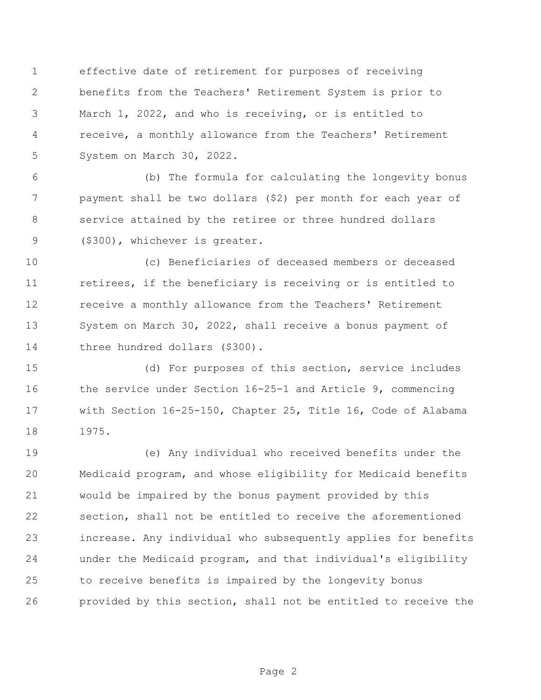effective date of retirement for purposes of receiving benefits from the Teachers' Retirement System is prior to March 1, 2022, and who is receiving, or is entitled to receive, a monthly allowance from the Teachers' Retirement System on March 30, 2022.

 (b) The formula for calculating the longevity bonus payment shall be two dollars (\$2) per month for each year of service attained by the retiree or three hundred dollars (\$300), whichever is greater.

 (c) Beneficiaries of deceased members or deceased 11 retirees, if the beneficiary is receiving or is entitled to receive a monthly allowance from the Teachers' Retirement System on March 30, 2022, shall receive a bonus payment of 14 three hundred dollars (\$300).

 (d) For purposes of this section, service includes the service under Section 16-25-1 and Article 9, commencing with Section 16-25-150, Chapter 25, Title 16, Code of Alabama 1975.

 (e) Any individual who received benefits under the Medicaid program, and whose eligibility for Medicaid benefits would be impaired by the bonus payment provided by this section, shall not be entitled to receive the aforementioned increase. Any individual who subsequently applies for benefits under the Medicaid program, and that individual's eligibility to receive benefits is impaired by the longevity bonus provided by this section, shall not be entitled to receive the